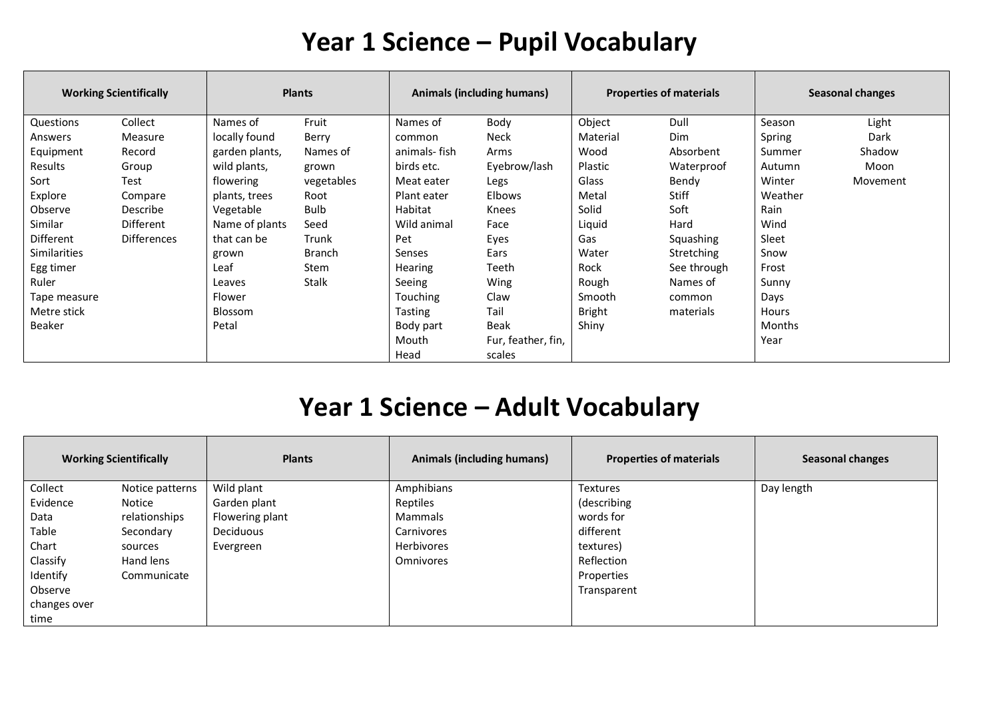#### **Year 1 Science – Pupil Vocabulary**

| <b>Working Scientifically</b> |                    | <b>Plants</b>  |               | Animals (including humans) |                    | <b>Properties of materials</b> |              | <b>Seasonal changes</b> |          |
|-------------------------------|--------------------|----------------|---------------|----------------------------|--------------------|--------------------------------|--------------|-------------------------|----------|
| Questions                     | Collect            | Names of       | Fruit         | Names of                   | Body               | Object                         | Dull         | Season                  | Light    |
| Answers                       | Measure            | locally found  | Berry         | common                     | Neck               | Material                       | <b>Dim</b>   | Spring                  | Dark     |
| Equipment                     | Record             | garden plants, | Names of      | animals- fish              | Arms               | Wood                           | Absorbent    | Summer                  | Shadow   |
| Results                       | Group              | wild plants,   | grown         | birds etc.                 | Eyebrow/lash       | Plastic                        | Waterproof   | Autumn                  | Moon     |
| Sort                          | Test               | flowering      | vegetables    | Meat eater                 | Legs               | Glass                          | Bendy        | Winter                  | Movement |
| Explore                       | Compare            | plants, trees  | Root          | Plant eater                | <b>Elbows</b>      | Metal                          | <b>Stiff</b> | Weather                 |          |
| Observe                       | Describe           | Vegetable      | <b>Bulb</b>   | Habitat                    | Knees              | Solid                          | Soft         | Rain                    |          |
| Similar                       | Different          | Name of plants | Seed          | Wild animal                | Face               | Liquid                         | Hard         | Wind                    |          |
| Different                     | <b>Differences</b> | that can be    | Trunk         | Pet                        | Eyes               | Gas                            | Squashing    | Sleet                   |          |
| <b>Similarities</b>           |                    | grown          | <b>Branch</b> | Senses                     | Ears               | Water                          | Stretching   | Snow                    |          |
| Egg timer                     |                    | Leaf           | Stem          | <b>Hearing</b>             | Teeth              | Rock                           | See through  | Frost                   |          |
| Ruler                         |                    | Leaves         | Stalk         | Seeing                     | Wing               | Rough                          | Names of     | Sunny                   |          |
| Tape measure                  |                    | Flower         |               | Touching                   | Claw               | Smooth                         | common       | Days                    |          |
| Metre stick                   |                    | Blossom        |               | Tasting                    | Tail               | <b>Bright</b>                  | materials    | Hours                   |          |
| <b>Beaker</b>                 |                    | Petal          |               | Body part                  | Beak               | Shiny                          |              | <b>Months</b>           |          |
|                               |                    |                |               | Mouth                      | Fur, feather, fin, |                                |              | Year                    |          |
|                               |                    |                |               | Head                       | scales             |                                |              |                         |          |

## **Year 1 Science – Adult Vocabulary**

| <b>Working Scientifically</b> |                 | <b>Plants</b>   | <b>Animals (including humans)</b> | <b>Properties of materials</b> | <b>Seasonal changes</b> |
|-------------------------------|-----------------|-----------------|-----------------------------------|--------------------------------|-------------------------|
| Collect                       | Notice patterns | Wild plant      | Amphibians                        | <b>Textures</b>                | Day length              |
| Evidence                      | Notice          | Garden plant    | Reptiles                          | (describing                    |                         |
| Data                          | relationships   | Flowering plant | Mammals                           | words for                      |                         |
| Table                         | Secondary       | Deciduous       | Carnivores                        | different                      |                         |
| Chart                         | sources         | Evergreen       | Herbivores                        | textures)                      |                         |
| Classify                      | Hand lens       |                 | Omnivores                         | Reflection                     |                         |
| Identify                      | Communicate     |                 |                                   | Properties                     |                         |
| Observe                       |                 |                 |                                   | Transparent                    |                         |
| changes over                  |                 |                 |                                   |                                |                         |
| time                          |                 |                 |                                   |                                |                         |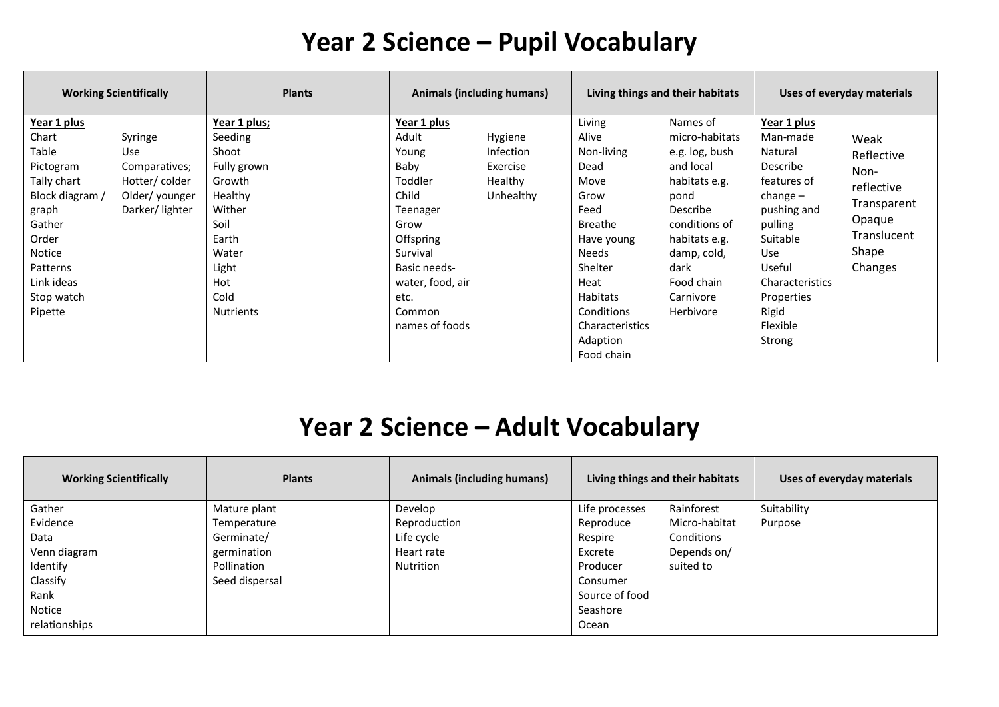### **Year 2 Science – Pupil Vocabulary**

| <b>Working Scientifically</b>                                                                                                                                                                                                                                | <b>Plants</b>                                                                                                                                        | Animals (including humans)                                                                                                                                                     |                                                                 | Living things and their habitats                                                                                                                                                                               |                                                                                                                                                                                                        | Uses of everyday materials                                                                                                                                                                                       |                                                                                                      |
|--------------------------------------------------------------------------------------------------------------------------------------------------------------------------------------------------------------------------------------------------------------|------------------------------------------------------------------------------------------------------------------------------------------------------|--------------------------------------------------------------------------------------------------------------------------------------------------------------------------------|-----------------------------------------------------------------|----------------------------------------------------------------------------------------------------------------------------------------------------------------------------------------------------------------|--------------------------------------------------------------------------------------------------------------------------------------------------------------------------------------------------------|------------------------------------------------------------------------------------------------------------------------------------------------------------------------------------------------------------------|------------------------------------------------------------------------------------------------------|
| Year 1 plus<br>Chart<br>Syringe<br>Table<br>Use<br>Pictogram<br>Comparatives;<br>Tally chart<br>Hotter/colder<br>Block diagram /<br>Older/younger<br>Darker/lighter<br>graph<br>Gather<br>Order<br>Notice<br>Patterns<br>Link ideas<br>Stop watch<br>Pipette | Year 1 plus;<br>Seeding<br>Shoot<br>Fully grown<br>Growth<br>Healthy<br>Wither<br>Soil<br>Earth<br>Water<br>Light<br>Hot<br>Cold<br><b>Nutrients</b> | Year 1 plus<br>Adult<br>Young<br>Baby<br>Toddler<br>Child<br>Teenager<br>Grow<br>Offspring<br>Survival<br>Basic needs-<br>water, food, air<br>etc.<br>Common<br>names of foods | Hygiene<br><b>Infection</b><br>Exercise<br>Healthy<br>Unhealthy | Living<br>Alive<br>Non-living<br>Dead<br>Move<br>Grow<br>Feed<br><b>Breathe</b><br>Have young<br><b>Needs</b><br>Shelter<br>Heat<br><b>Habitats</b><br>Conditions<br>Characteristics<br>Adaption<br>Food chain | Names of<br>micro-habitats<br>e.g. log, bush<br>and local<br>habitats e.g.<br>pond<br><b>Describe</b><br>conditions of<br>habitats e.g.<br>damp, cold,<br>dark<br>Food chain<br>Carnivore<br>Herbivore | Year 1 plus<br>Man-made<br>Natural<br><b>Describe</b><br>features of<br>$change -$<br>pushing and<br>pulling<br>Suitable<br><b>Use</b><br>Useful<br>Characteristics<br>Properties<br>Rigid<br>Flexible<br>Strong | Weak<br>Reflective<br>Non-<br>reflective<br>Transparent<br>Opaque<br>Translucent<br>Shape<br>Changes |

## **Year 2 Science – Adult Vocabulary**

| <b>Working Scientifically</b> | <b>Plants</b>  | <b>Animals (including humans)</b> |                | Living things and their habitats | Uses of everyday materials |
|-------------------------------|----------------|-----------------------------------|----------------|----------------------------------|----------------------------|
| Gather                        | Mature plant   | Develop                           | Life processes | Rainforest                       | Suitability                |
| Evidence                      | Temperature    | Reproduction                      | Reproduce      | Micro-habitat                    | Purpose                    |
| Data                          | Germinate/     | Life cycle                        | Respire        | Conditions                       |                            |
| Venn diagram                  | germination    | Heart rate                        | Excrete        | Depends on/                      |                            |
| Identify                      | Pollination    | Nutrition                         | Producer       | suited to                        |                            |
| Classify                      | Seed dispersal |                                   | Consumer       |                                  |                            |
| Rank                          |                |                                   | Source of food |                                  |                            |
| Notice                        |                |                                   | Seashore       |                                  |                            |
| relationships                 |                |                                   | Ocean          |                                  |                            |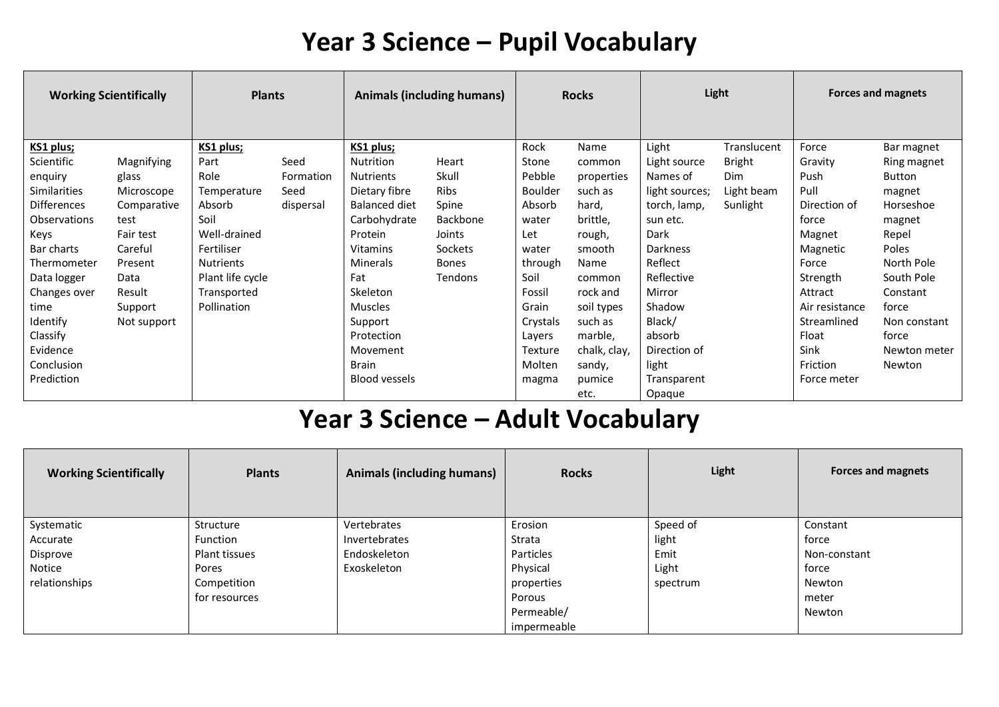### **Year 3 Science – Pupil Vocabulary**

| <b>Plants</b><br><b>Working Scientifically</b> |             |                  | <b>Animals (including humans)</b> |                      | <b>Rocks</b> |                | Light        |                 | <b>Forces and magnets</b> |                |               |
|------------------------------------------------|-------------|------------------|-----------------------------------|----------------------|--------------|----------------|--------------|-----------------|---------------------------|----------------|---------------|
| KS1 plus;                                      |             | KS1 plus;        |                                   | KS1 plus;            |              | Rock           | Name         | Light           | Translucent               | Force          | Bar magnet    |
| Scientific                                     | Magnifying  | Part             | Seed                              | <b>Nutrition</b>     | Heart        | Stone          | common       | Light source    | <b>Bright</b>             | Gravity        | Ring magnet   |
| enquiry                                        | glass       | Role             | Formation                         | <b>Nutrients</b>     | Skull        | Pebble         | properties   | Names of        | Dim                       | Push           | <b>Button</b> |
| <b>Similarities</b>                            | Microscope  | Temperature      | Seed                              | Dietary fibre        | Ribs         | <b>Boulder</b> | such as      | light sources;  | Light beam                | Pull           | magnet        |
| Differences                                    | Comparative | Absorb           | dispersal                         | Balanced diet        | Spine        | Absorb         | hard,        | torch, lamp,    | Sunlight                  | Direction of   | Horseshoe     |
| <b>Observations</b>                            | test        | Soil             |                                   | Carbohydrate         | Backbone     | water          | brittle,     | sun etc.        |                           | force          | magnet        |
| Keys                                           | Fair test   | Well-drained     |                                   | Protein              | Joints       | Let            | rough,       | Dark            |                           | Magnet         | Repel         |
| Bar charts                                     | Careful     | Fertiliser       |                                   | <b>Vitamins</b>      | Sockets      | water          | smooth       | <b>Darkness</b> |                           | Magnetic       | Poles         |
| Thermometer                                    | Present     | <b>Nutrients</b> |                                   | <b>Minerals</b>      | <b>Bones</b> | through        | Name         | Reflect         |                           | Force          | North Pole    |
| Data logger                                    | Data        | Plant life cycle |                                   | Fat                  | Tendons      | Soil           | common       | Reflective      |                           | Strength       | South Pole    |
| Changes over                                   | Result      | Transported      |                                   | <b>Skeleton</b>      |              | Fossil         | rock and     | Mirror          |                           | Attract        | Constant      |
| time                                           | Support     | Pollination      |                                   | <b>Muscles</b>       |              | Grain          | soil types   | Shadow          |                           | Air resistance | force         |
| Identify                                       | Not support |                  |                                   | Support              |              | Crystals       | such as      | Black/          |                           | Streamlined    | Non constant  |
| Classify                                       |             |                  |                                   | Protection           |              | Layers         | marble,      | absorb          |                           | Float          | force         |
| Evidence                                       |             |                  |                                   | Movement             |              | Texture        | chalk, clay, | Direction of    |                           | Sink           | Newton meter  |
| Conclusion                                     |             |                  |                                   | <b>Brain</b>         |              | Molten         | sandy,       | light           |                           | Friction       | Newton        |
| Prediction                                     |             |                  |                                   | <b>Blood vessels</b> |              | magma          | pumice       | Transparent     |                           | Force meter    |               |
|                                                |             |                  |                                   |                      |              |                | etc.         | Opaque          |                           |                |               |

# **Year 3 Science – Adult Vocabulary**

| <b>Working Scientifically</b> | <b>Plants</b>   | <b>Animals (including humans)</b> | <b>Rocks</b> | Light    | <b>Forces and magnets</b> |
|-------------------------------|-----------------|-----------------------------------|--------------|----------|---------------------------|
| Systematic                    | Structure       | Vertebrates                       | Erosion      | Speed of | Constant                  |
| Accurate                      | <b>Function</b> | Invertebrates                     | Strata       | light    | force                     |
| Disprove                      | Plant tissues   | Endoskeleton                      | Particles    | Emit     | Non-constant              |
| Notice                        | Pores           | Exoskeleton                       | Physical     | Light    | force                     |
| relationships                 | Competition     |                                   | properties   | spectrum | Newton                    |
|                               | for resources   |                                   | Porous       |          | meter                     |
|                               |                 |                                   | Permeable/   |          | Newton                    |
|                               |                 |                                   | impermeable  |          |                           |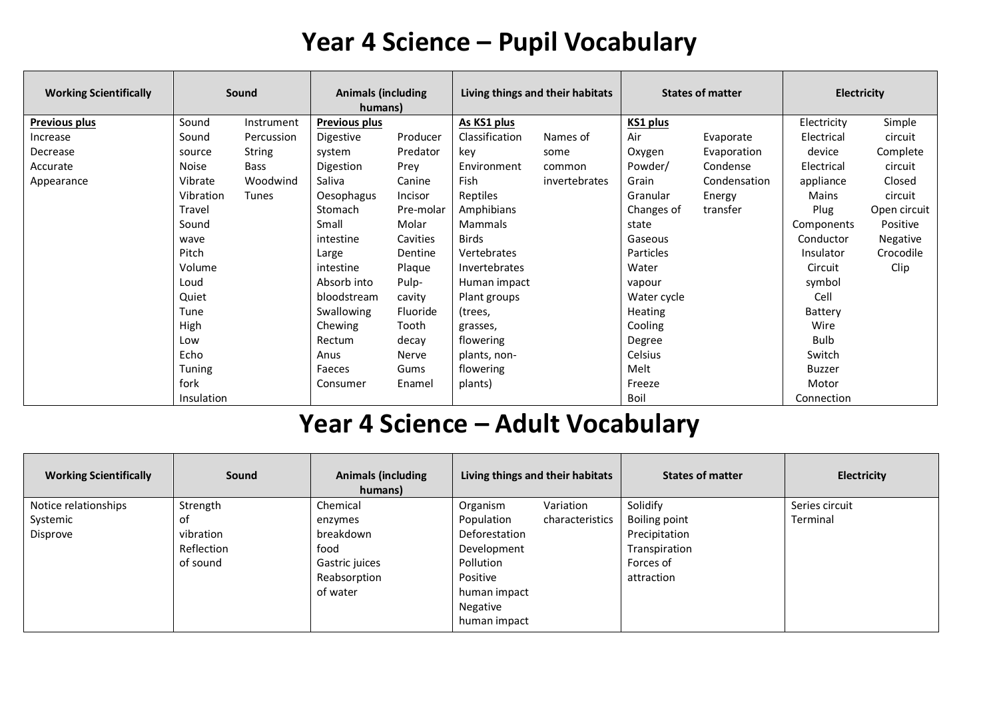### **Year 4 Science – Pupil Vocabulary**

| <b>Working Scientifically</b> | Sound        |              | <b>Animals (including</b><br>humans) |           | Living things and their habitats |               | <b>States of matter</b> |              | <b>Electricity</b> |                 |
|-------------------------------|--------------|--------------|--------------------------------------|-----------|----------------------------------|---------------|-------------------------|--------------|--------------------|-----------------|
| <b>Previous plus</b>          | Sound        | Instrument   | <b>Previous plus</b>                 |           | As KS1 plus                      |               | KS1 plus                |              | Electricity        | Simple          |
| Increase                      | Sound        | Percussion   | Digestive                            | Producer  | Classification                   | Names of      | Air                     | Evaporate    | Electrical         | circuit         |
| Decrease                      | source       | String       | system                               | Predator  | kev                              | some          | Oxygen                  | Evaporation  | device             | Complete        |
| Accurate                      | <b>Noise</b> | Bass         | Digestion                            | Prey      | Environment                      | common        | Powder/                 | Condense     | Electrical         | circuit         |
| Appearance                    | Vibrate      | Woodwind     | Saliva                               | Canine    | Fish                             | invertebrates | Grain                   | Condensation | appliance          | Closed          |
|                               | Vibration    | <b>Tunes</b> | Oesophagus                           | Incisor   | Reptiles                         |               | Granular                | Energy       | <b>Mains</b>       | circuit         |
|                               | Travel       |              | Stomach                              | Pre-molar | Amphibians                       |               | Changes of              | transfer     | Plug               | Open circuit    |
|                               | Sound        |              | Small                                | Molar     | Mammals                          |               | state                   |              | Components         | Positive        |
|                               | wave         |              | intestine                            | Cavities  | <b>Birds</b>                     |               | Gaseous                 |              | Conductor          | <b>Negative</b> |
|                               | Pitch        |              | Large                                | Dentine   | Vertebrates                      |               | Particles               |              | Insulator          | Crocodile       |
|                               | Volume       |              | intestine                            | Plaque    | Invertebrates                    |               | Water                   |              | Circuit            | Clip            |
|                               | Loud         |              | Absorb into                          | Pulp-     | Human impact                     |               | vapour                  |              | symbol             |                 |
|                               | Quiet        |              | bloodstream                          | cavity    | Plant groups                     |               | Water cycle             |              | Cell               |                 |
|                               | Tune         |              | Swallowing                           | Fluoride  | (trees,                          |               | <b>Heating</b>          |              | Battery            |                 |
|                               | High         |              | Chewing                              | Tooth     | grasses,                         |               | Cooling                 |              | Wire               |                 |
|                               | Low          |              | Rectum                               | decay     | flowering                        |               | Degree                  |              | Bulb               |                 |
|                               | Echo         |              | Anus                                 | Nerve     | plants, non-                     |               | Celsius                 |              | Switch             |                 |
|                               | Tuning       |              | Faeces                               | Gums      | flowering                        |               | Melt                    |              | <b>Buzzer</b>      |                 |
|                               | fork         |              | Consumer                             | Enamel    | plants)                          |               | Freeze                  |              | Motor              |                 |
|                               | Insulation   |              |                                      |           |                                  |               | Boil                    |              | Connection         |                 |

## **Year 4 Science – Adult Vocabulary**

| <b>Working Scientifically</b> | Sound      | <b>Animals (including</b><br>humans) | Living things and their habitats | <b>States of matter</b> | Electricity    |
|-------------------------------|------------|--------------------------------------|----------------------------------|-------------------------|----------------|
| Notice relationships          | Strength   | Chemical                             | Variation<br>Organism            | Solidify                | Series circuit |
| Systemic                      | οf         | enzymes                              | characteristics<br>Population    | Boiling point           | Terminal       |
| Disprove                      | vibration  | breakdown                            | Deforestation                    | Precipitation           |                |
|                               | Reflection | food                                 | Development                      | Transpiration           |                |
|                               | of sound   | Gastric juices                       | Pollution                        | Forces of               |                |
|                               |            | Reabsorption                         | Positive                         | attraction              |                |
|                               |            | of water                             | human impact                     |                         |                |
|                               |            |                                      | Negative                         |                         |                |
|                               |            |                                      | human impact                     |                         |                |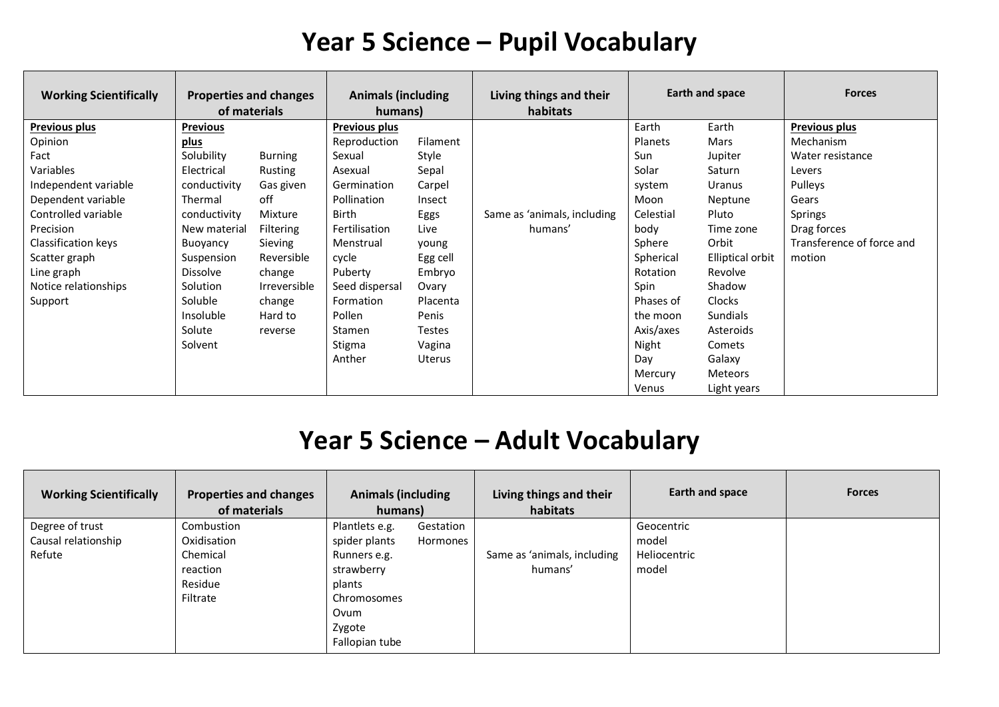### **Year 5 Science – Pupil Vocabulary**

| <b>Working Scientifically</b> | <b>Properties and changes</b><br>of materials |                  | <b>Animals (including</b><br>humans) |               | Living things and their<br>habitats |                | Earth and space  | <b>Forces</b>             |
|-------------------------------|-----------------------------------------------|------------------|--------------------------------------|---------------|-------------------------------------|----------------|------------------|---------------------------|
| <b>Previous plus</b>          | <b>Previous</b>                               |                  | <b>Previous plus</b>                 |               |                                     | Earth          | Earth            | <b>Previous plus</b>      |
| Opinion                       | plus                                          |                  | Reproduction                         | Filament      |                                     | <b>Planets</b> | Mars             | Mechanism                 |
| Fact                          | Solubility                                    | <b>Burning</b>   | Sexual                               | Style         |                                     | Sun            | Jupiter          | Water resistance          |
| Variables                     | Electrical                                    | Rusting          | Asexual                              | Sepal         |                                     | Solar          | Saturn           | Levers                    |
| Independent variable          | conductivity                                  | Gas given        | Germination                          | Carpel        |                                     | system         | Uranus           | Pulleys                   |
| Dependent variable            | Thermal                                       | off              | Pollination                          | Insect        |                                     | Moon           | Neptune          | Gears                     |
| Controlled variable           | conductivity                                  | Mixture          | Birth                                | Eggs          | Same as 'animals, including         | Celestial      | Pluto            | Springs                   |
| Precision                     | New material                                  | <b>Filtering</b> | Fertilisation                        | Live          | humans'                             | body           | Time zone        | Drag forces               |
| Classification keys           | Buoyancy                                      | Sieving          | Menstrual                            | young         |                                     | Sphere         | Orbit            | Transference of force and |
| Scatter graph                 | Suspension                                    | Reversible       | cycle                                | Egg cell      |                                     | Spherical      | Elliptical orbit | motion                    |
| Line graph                    | <b>Dissolve</b>                               | change           | Puberty                              | Embryo        |                                     | Rotation       | Revolve          |                           |
| Notice relationships          | Solution                                      | Irreversible     | Seed dispersal                       | Ovary         |                                     | Spin           | Shadow           |                           |
| Support                       | Soluble                                       | change           | Formation                            | Placenta      |                                     | Phases of      | <b>Clocks</b>    |                           |
|                               | Insoluble                                     | Hard to          | Pollen                               | Penis         |                                     | the moon       | <b>Sundials</b>  |                           |
|                               | Solute                                        | reverse          | Stamen                               | <b>Testes</b> |                                     | Axis/axes      | Asteroids        |                           |
|                               | Solvent                                       |                  | Stigma                               | Vagina        |                                     | Night          | Comets           |                           |
|                               |                                               |                  | Anther                               | <b>Uterus</b> |                                     | Day            | Galaxy           |                           |
|                               |                                               |                  |                                      |               |                                     | Mercury        | Meteors          |                           |
|                               |                                               |                  |                                      |               |                                     | Venus          | Light years      |                           |

# **Year 5 Science – Adult Vocabulary**

| <b>Working Scientifically</b> | <b>Properties and changes</b><br>of materials | <b>Animals (including</b><br>humans) |           | Living things and their<br>habitats | Earth and space | <b>Forces</b> |
|-------------------------------|-----------------------------------------------|--------------------------------------|-----------|-------------------------------------|-----------------|---------------|
| Degree of trust               | Combustion                                    | Plantlets e.g.                       | Gestation |                                     | Geocentric      |               |
| Causal relationship           | Oxidisation                                   | spider plants                        | Hormones  |                                     | model           |               |
| Refute                        | Chemical                                      | Runners e.g.                         |           | Same as 'animals, including         | Heliocentric    |               |
|                               | reaction                                      | strawberry                           |           | humans'                             | model           |               |
|                               | Residue                                       | plants                               |           |                                     |                 |               |
|                               | Filtrate                                      | Chromosomes                          |           |                                     |                 |               |
|                               |                                               | Ovum                                 |           |                                     |                 |               |
|                               |                                               | Zygote                               |           |                                     |                 |               |
|                               |                                               | Fallopian tube                       |           |                                     |                 |               |